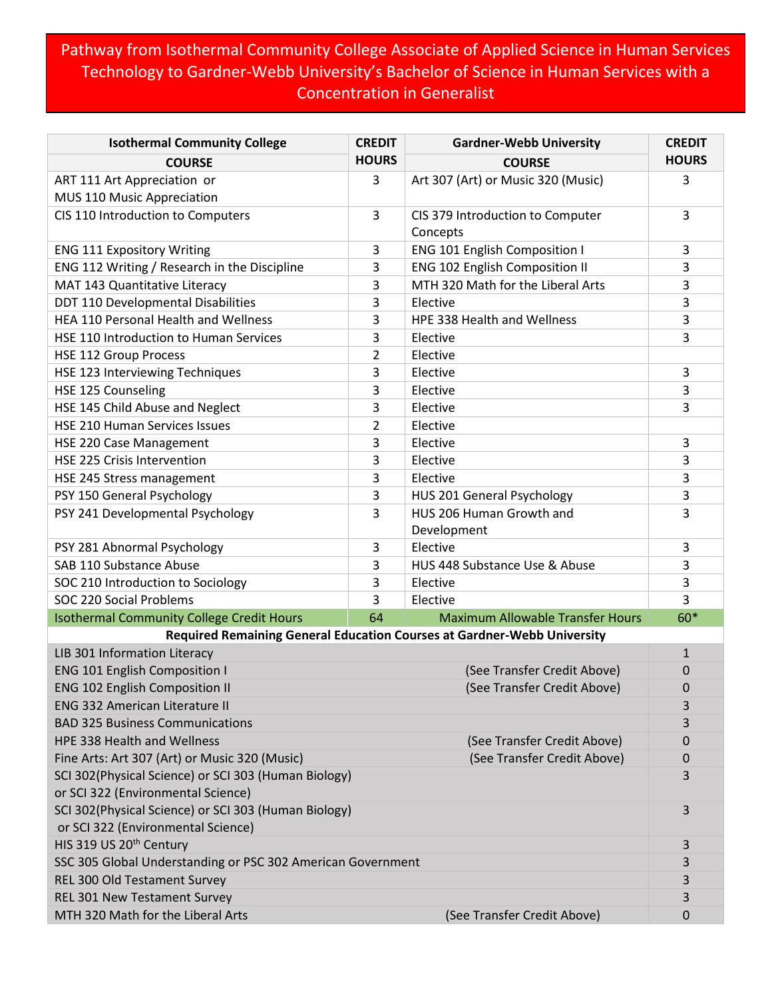## Pathway from Isothermal Community College Associate of Applied Science in Human Services Technology to Gardner-Webb University's Bachelor of Science in Human Services with a Concentration in Generalist

| <b>Isothermal Community College</b>                                          | <b>CREDIT</b>  | <b>Gardner-Webb University</b>          | <b>CREDIT</b>  |  |
|------------------------------------------------------------------------------|----------------|-----------------------------------------|----------------|--|
| <b>COURSE</b>                                                                | <b>HOURS</b>   | <b>COURSE</b>                           | <b>HOURS</b>   |  |
| ART 111 Art Appreciation or                                                  | 3              | Art 307 (Art) or Music 320 (Music)      | 3              |  |
| MUS 110 Music Appreciation                                                   |                |                                         |                |  |
| CIS 110 Introduction to Computers                                            | 3              | CIS 379 Introduction to Computer        | 3              |  |
|                                                                              |                | Concepts                                |                |  |
| <b>ENG 111 Expository Writing</b>                                            | 3              | <b>ENG 101 English Composition I</b>    | 3              |  |
| ENG 112 Writing / Research in the Discipline                                 | 3              | ENG 102 English Composition II          | 3              |  |
| MAT 143 Quantitative Literacy                                                | 3              | MTH 320 Math for the Liberal Arts       | 3              |  |
| DDT 110 Developmental Disabilities                                           | 3              | Elective                                | 3              |  |
| HEA 110 Personal Health and Wellness                                         | 3              | HPE 338 Health and Wellness             | 3              |  |
| HSE 110 Introduction to Human Services                                       | 3              | Elective                                | 3              |  |
| <b>HSE 112 Group Process</b>                                                 | $\overline{2}$ | Elective                                |                |  |
| HSE 123 Interviewing Techniques                                              | 3              | Elective                                | 3              |  |
| HSE 125 Counseling                                                           | 3              | Elective                                | 3              |  |
| HSE 145 Child Abuse and Neglect                                              | 3              | Elective                                | 3              |  |
| HSE 210 Human Services Issues                                                | $\overline{2}$ | Elective                                |                |  |
| HSE 220 Case Management                                                      | 3              | Elective                                | 3              |  |
| <b>HSE 225 Crisis Intervention</b>                                           | 3              | Elective                                | 3              |  |
| HSE 245 Stress management                                                    | 3              | Elective                                | 3              |  |
| PSY 150 General Psychology                                                   | 3              | HUS 201 General Psychology              | 3              |  |
| PSY 241 Developmental Psychology                                             | 3              | HUS 206 Human Growth and                | 3              |  |
|                                                                              |                | Development                             |                |  |
| PSY 281 Abnormal Psychology                                                  | 3              | Elective                                | 3              |  |
| SAB 110 Substance Abuse                                                      | 3              | HUS 448 Substance Use & Abuse           | 3              |  |
| SOC 210 Introduction to Sociology                                            | 3              | Elective                                | 3              |  |
| SOC 220 Social Problems                                                      | 3              | Elective                                | $\overline{3}$ |  |
| <b>Isothermal Community College Credit Hours</b>                             | 64             | <b>Maximum Allowable Transfer Hours</b> | 60*            |  |
| Required Remaining General Education Courses at Gardner-Webb University      |                |                                         |                |  |
| LIB 301 Information Literacy                                                 |                |                                         | $\mathbf{1}$   |  |
| <b>ENG 101 English Composition I</b><br>(See Transfer Credit Above)          |                |                                         | 0              |  |
| <b>ENG 102 English Composition II</b><br>(See Transfer Credit Above)         |                |                                         | 0              |  |
| <b>ENG 332 American Literature II</b>                                        |                |                                         | 3              |  |
| <b>BAD 325 Business Communications</b>                                       |                |                                         | 3              |  |
| HPE 338 Health and Wellness<br>(See Transfer Credit Above)                   |                |                                         | 0              |  |
| Fine Arts: Art 307 (Art) or Music 320 (Music)<br>(See Transfer Credit Above) |                |                                         | 0<br>3         |  |
| SCI 302(Physical Science) or SCI 303 (Human Biology)                         |                |                                         |                |  |
| or SCI 322 (Environmental Science)                                           |                |                                         |                |  |
| SCI 302(Physical Science) or SCI 303 (Human Biology)                         |                |                                         |                |  |
| or SCI 322 (Environmental Science)                                           |                |                                         |                |  |
| HIS 319 US 20 <sup>th</sup> Century                                          |                |                                         |                |  |
| SSC 305 Global Understanding or PSC 302 American Government                  |                |                                         |                |  |
| REL 300 Old Testament Survey                                                 |                |                                         |                |  |
| REL 301 New Testament Survey                                                 |                |                                         |                |  |
| MTH 320 Math for the Liberal Arts<br>(See Transfer Credit Above)             |                |                                         |                |  |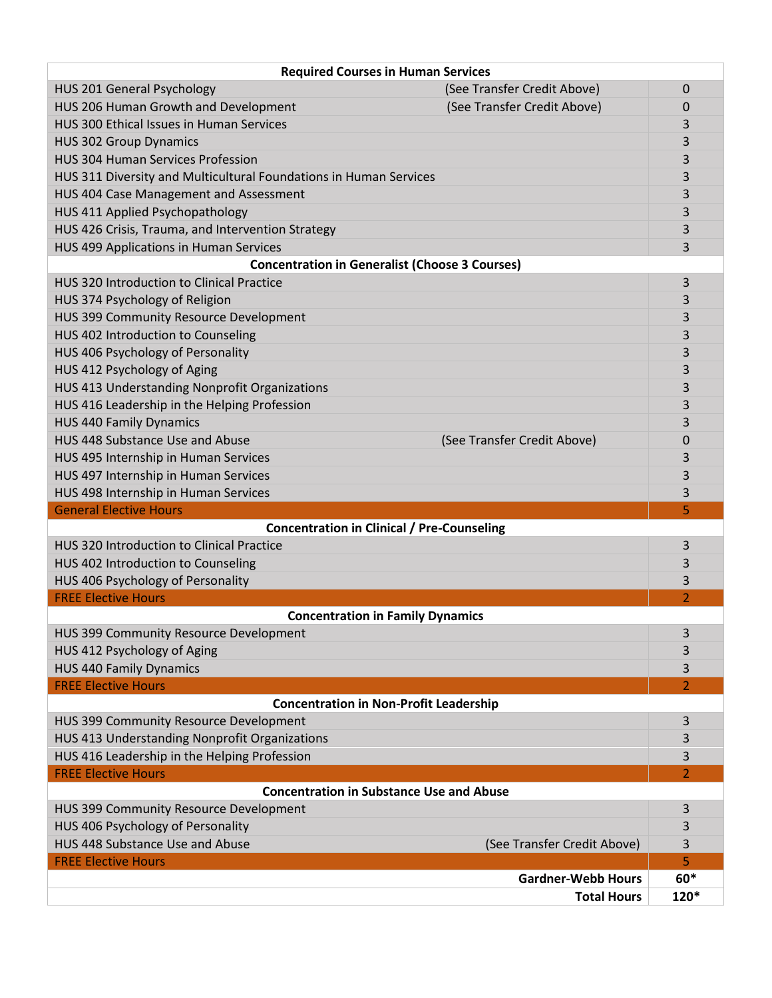| <b>Required Courses in Human Services</b>                         |                             |                          |  |  |
|-------------------------------------------------------------------|-----------------------------|--------------------------|--|--|
| HUS 201 General Psychology                                        | (See Transfer Credit Above) | 0                        |  |  |
| HUS 206 Human Growth and Development                              | (See Transfer Credit Above) | 0                        |  |  |
| HUS 300 Ethical Issues in Human Services                          |                             | 3                        |  |  |
| <b>HUS 302 Group Dynamics</b>                                     |                             | 3                        |  |  |
| <b>HUS 304 Human Services Profession</b>                          |                             | 3                        |  |  |
| HUS 311 Diversity and Multicultural Foundations in Human Services |                             | 3                        |  |  |
| HUS 404 Case Management and Assessment                            |                             | 3                        |  |  |
| HUS 411 Applied Psychopathology                                   |                             | 3                        |  |  |
| HUS 426 Crisis, Trauma, and Intervention Strategy                 |                             | 3                        |  |  |
| HUS 499 Applications in Human Services                            |                             | 3                        |  |  |
| <b>Concentration in Generalist (Choose 3 Courses)</b>             |                             |                          |  |  |
| HUS 320 Introduction to Clinical Practice                         |                             | 3                        |  |  |
| HUS 374 Psychology of Religion                                    |                             | 3                        |  |  |
| HUS 399 Community Resource Development                            |                             | 3                        |  |  |
| HUS 402 Introduction to Counseling                                |                             | 3                        |  |  |
| HUS 406 Psychology of Personality                                 |                             | 3                        |  |  |
| HUS 412 Psychology of Aging                                       |                             | 3                        |  |  |
| HUS 413 Understanding Nonprofit Organizations                     |                             | 3                        |  |  |
| HUS 416 Leadership in the Helping Profession                      |                             | 3                        |  |  |
| <b>HUS 440 Family Dynamics</b>                                    |                             | 3                        |  |  |
| HUS 448 Substance Use and Abuse                                   | (See Transfer Credit Above) | 0                        |  |  |
| HUS 495 Internship in Human Services                              |                             | 3                        |  |  |
| HUS 497 Internship in Human Services                              |                             | 3                        |  |  |
| HUS 498 Internship in Human Services                              |                             | 3                        |  |  |
| <b>General Elective Hours</b>                                     |                             | 5                        |  |  |
| <b>Concentration in Clinical / Pre-Counseling</b>                 |                             |                          |  |  |
| HUS 320 Introduction to Clinical Practice                         |                             | 3                        |  |  |
| HUS 402 Introduction to Counseling                                |                             | 3                        |  |  |
| HUS 406 Psychology of Personality                                 |                             | 3                        |  |  |
| <b>FREE Elective Hours</b>                                        |                             | $\overline{\phantom{a}}$ |  |  |
| <b>Concentration in Family Dynamics</b>                           |                             |                          |  |  |
| HUS 399 Community Resource Development                            |                             | 3                        |  |  |
| HUS 412 Psychology of Aging                                       |                             | 3                        |  |  |
| <b>HUS 440 Family Dynamics</b>                                    |                             | 3                        |  |  |
| <b>FREE Elective Hours</b>                                        |                             | 2                        |  |  |
| <b>Concentration in Non-Profit Leadership</b>                     |                             |                          |  |  |
| HUS 399 Community Resource Development                            |                             | 3                        |  |  |
| HUS 413 Understanding Nonprofit Organizations                     |                             | 3                        |  |  |
| HUS 416 Leadership in the Helping Profession                      |                             | 3                        |  |  |
| <b>FREE Elective Hours</b>                                        |                             | 2                        |  |  |
| <b>Concentration in Substance Use and Abuse</b>                   |                             |                          |  |  |
| HUS 399 Community Resource Development                            |                             | 3                        |  |  |
| HUS 406 Psychology of Personality                                 |                             | 3                        |  |  |
| HUS 448 Substance Use and Abuse                                   | (See Transfer Credit Above) | 3                        |  |  |
| <b>FREE Elective Hours</b>                                        |                             | 5                        |  |  |
|                                                                   | <b>Gardner-Webb Hours</b>   | $60*$                    |  |  |
|                                                                   | <b>Total Hours</b>          | 120*                     |  |  |